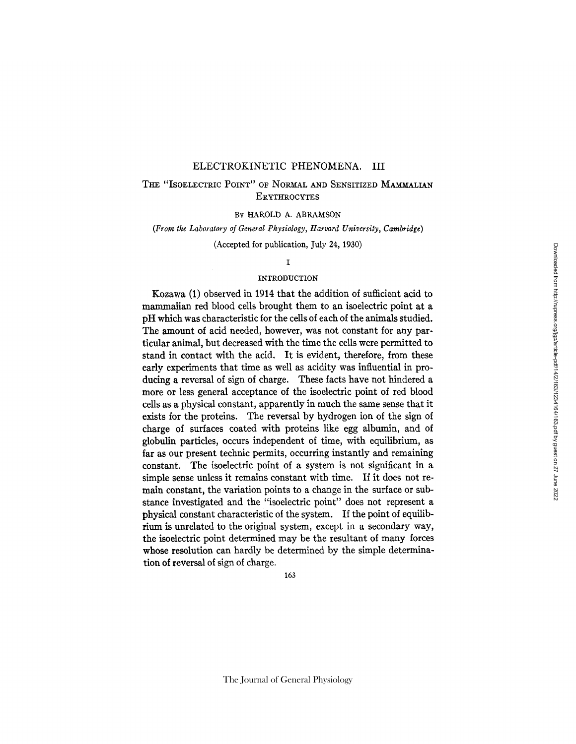## ELECTROKINETIC PHENOMENA. III

## THE "ISOELECTRIC POINT" OF NORMAL AND SENSITIZED MAMMALIAN **ERYTHROCYTES**

### BY HAROLD A. ABRAMSON

## (From *the Laboratory of General Physiology, Harvard University, Cambridge)*

(Accepted for publication, July 24, 1930)

## I

### INTRODUCTION

Kozawa (1) observed in 1914 that the addition of sufficient acid to mammalian red blood cells brought them to an isoelectric point at a pH which was characteristic for the cells of each of the animals studied. The amount of acid needed, however, was not constant for any particular animal, but decreased with the time the cells were permitted to stand in contact with the acid. It is evident, therefore, from these early experiments that time as well as acidity was influential in producing a reversal of sign of charge. These facts have not hindered a more or less general acceptance of the isoelectric point of red blood cells as a physical constant, apparently in much the same sense that it exists for the proteins. The reversal by hydrogen ion of the sign of charge of surfaces coated with proteins like egg albumin, and of globulin particles, occurs independent of time, with equilibrium, as far as our present technic permits, occurring instantly and remaining constant. The isoelectric point of a system is not significant in a simple sense unless it remains constant with time. If it does not remain constant, the variation points to a change in the surface or substance investigated and the "isoelectric point" does not represent a physical constant characteristic of the system. If the point of equilibrium is unrelated to the original system, except in a secondary way, the isoelectric point determined may be the resultant of many forces whose resolution can hardly be determined by the simple determination of reversal of sign of charge.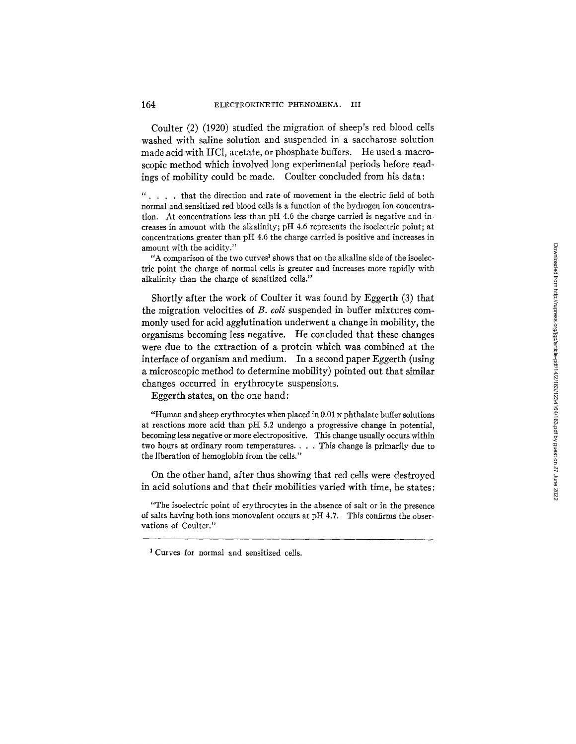Coulter (2) (1920) studied the migration of sheep's red blood cells washed with saline solution and suspended in a saccharose solution made acid with HCI, acetate, or phosphate buffers. He used a macroscopic method which involved long experimental periods before readings of mobility could be made. Coulter concluded from his data:

*" ....* that the direction and rate of movement in the electric field of both normal and sensitized red blood cells is a function of the hydrogen ion concentration. At concentrations less than pH 4.6 the charge carried is negative and increases in amount with the alkalinity; pH 4.6 represents the isoelectric point; at concentrations greater than pH 4.6 the charge carried is positive and increases in amount with the acidity."

"A comparison of the two curves<sup>1</sup> shows that on the alkaline side of the isoelectric point the charge of normal cells is greater and increases more rapidly with alkalinity than the charge of sensitized cells."

Shortly after the work of Coulter it was found by Eggerth (3) that the migration velocities of *B. coli* suspended in buffer mixtures commonly used for acid agglutination underwent a change in mobility, the organisms becoming less negative. He concluded that these changes were due to the extraction of a protein which was combined at the interface of organism and medium. In a second paper Eggerth (using a microscopic method to determine mobility) pointed out that similar changes occurred in erythrocyte suspensions.

Eggerth states, on the one hand:

"Human and sheep erythrocytes when placed in  $0.01 \text{ N}$  phthalate buffer solutions at reactions more acid than pH 5.2 undergo a progressive change in potential, becoming less negative or more electropositive. This change usually occurs within two hours at ordinary room temperatures .... This change is primarily due to the liberation of hemoglobin from the cells."

On the other hand, after thus showing that red cells were destroyed in acid solutions and that their mobilities varied with time, he states:

"The isoelectric point of erythrocytes in the absence of salt or in the presence of salts having both ions monovalent occurs at pH 4.7. This confirms the observations of Coulter."

I Curves for normal and sensitized cells.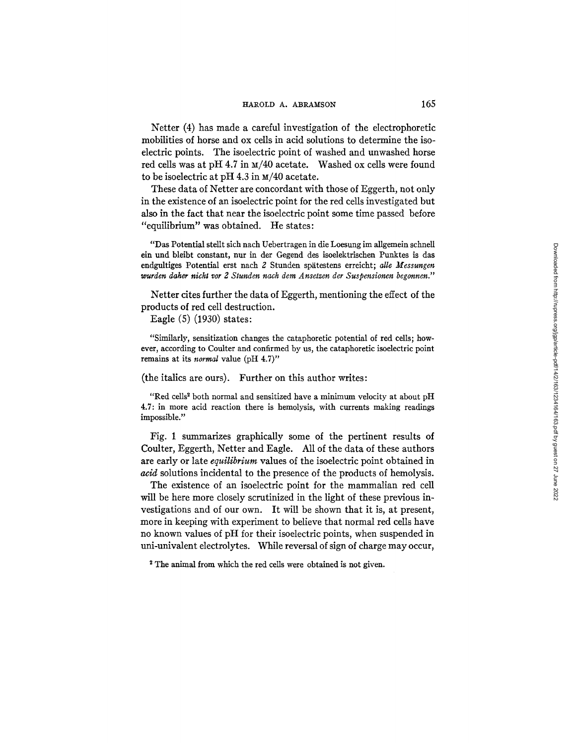Netter (4) has made a careful investigation of the electrophoretic mobilities of horse and ox cells in acid solutions to determine the isoelectric points. The isoelectric point of washed and unwashed horse red cells was at pH 4.7 in  $\text{m}/40$  acetate. Washed ox cells were found to be isoelectric at pH 4.3 in  $\text{m}/40$  acetate.

These data of Netter are concordant with those of Eggerth, not only in the existence of an isoelectric point for the red cells investigated but also in the fact that near the isoelectric point some time passed before *"equilibrium"* was obtained. He states:

"Das Potential stellt sich nach Uebertragen in die Loesung im allgemein schneU ein und bleibt constant, nur in der Gegend des isoelektrischen Punktes is das endgultiges Potential erst nach 2 Stunden spätestens erreicht; *alle Messungen wurden daher nicht vor 2 Stunden nach dem Ansetzen der Suspensionen begonnen."* 

Netter cites further the data of Eggerth, mentioning the effect of the products of red cell destruction.

Eagle (5) (1930) states:

"Similarly, sensitization changes the cataphoretic potential of red cells; however, according to Coulter and confirmed by us, the cataphoretic isoelectric point remains at its *normal* value (pH 4.7)"

(the italics are ours). Further on this author writes:

"Red cells<sup>2</sup> both normal and sensitized have a minimum velocity at about pH 4.7: in more acid reaction there is hemolysis, with currents making readings impossible."

Fig. 1 summarizes graphically some of the pertinent results of Coulter, Eggerth, Netter and Eagle. All of the data of these authors are early or late *equilibrium* values of the isoelectric point obtained in *acid* solutions incidental to the presence of the products of hemolysis.

The existence of an isoelectric point for the mammalian red cell will be here more closely scrutinized in the light of these previous investigations and of our own. It will be shown that it is, at present, more in keeping with experiment to believe that normal red cells have no known values of pH for their isoelectric points, when suspended in uni-univalent electrolytes. While reversal of sign of charge may occur,

<sup>2</sup> The animal from which the red cells were obtained is not given.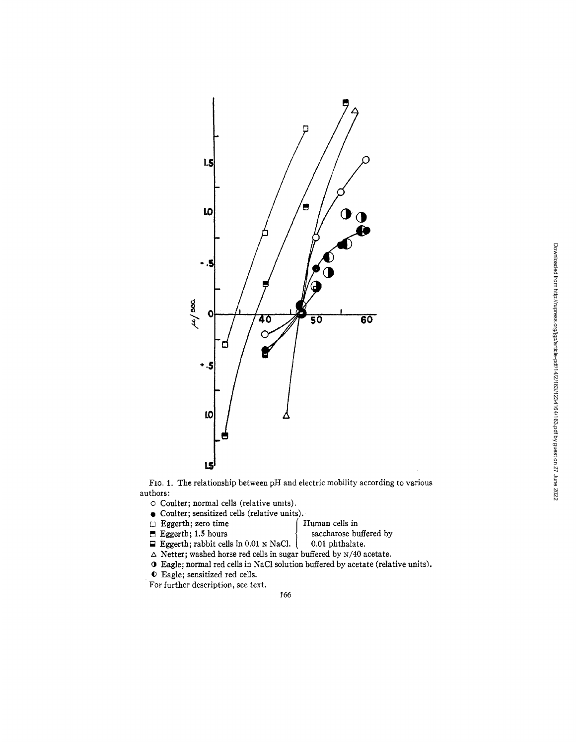

FIG. 1. The relationship between pH and electric mobility according to various authors:

o Coulter; normal cells (relative umts),

- Coulter; sensitized cells (relative units).
- □ Eggerth; zero time f Human cells in f Human cells in saccharose bu
	-

saccharose buffered by  $0.01$  phthalate.

- $\Box$  Eggerth; rabbit cells in 0.01 N NaCl.
- $\Delta$  Netter; washed horse red cells in sugar buffered by N/40 acetate.
- O Eagle; normal red cells in NaCl solution buffered by acetate (relative units).
- Eagle; sensitized red cells.

For further description, see text.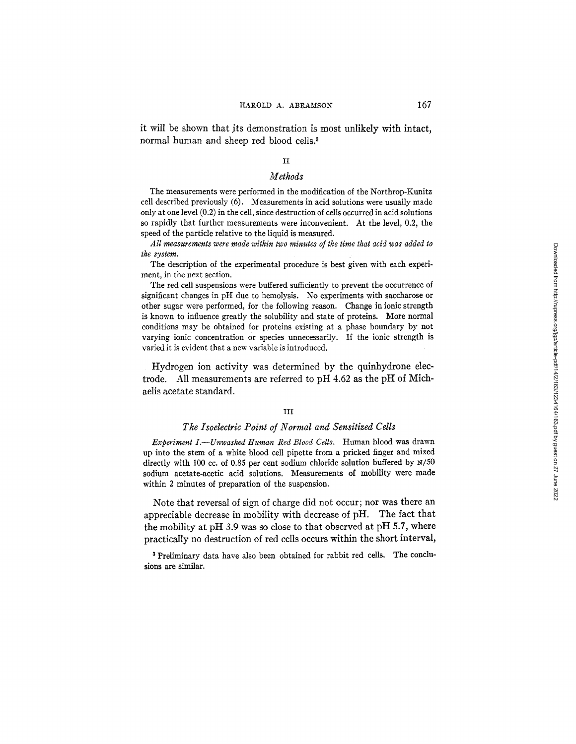it will be shown that its demonstration is most unlikely with intact, normal human and sheep red blood cells.<sup>3</sup>

### II

### *Methods*

The measurements were performed in the modification of the Northrop-Kunitz cell described previously (6). Measurements in acid solutions were usually made only at one level (0.2) in the cell, since destruction of cells occurred in acid solutions so rapidly that further measurements were inconvenient. At the level, 0.2, the speed of the particle relative to the liquid is measured.

*All measurements were made within two minutes of the time that acid was added to the system.* 

The description of the experimental procedure is best given with each experiment, in the next section.

The red cell suspensions were buffered sufficiently to prevent the occurrence of significant changes in pH due to hemolysis. No experiments with saccharose or other sugar were performed, for the following reason. Change in ionic strength is known to influence greatly the solubility and state of proteins. More normal conditions may be obtained for proteins existing at a phase boundary by not varying ionic concentration or species unnecessarily. If the ionic strength is varied it is evident that a new variable is introduced.

Hydrogen ion activity was determined by the quinhydrone electrode. All measurements are referred to pH 4.62 as the pH of Michaelis acetate standard.

### III

### *The Isoelectric Point of Normal and Sensitized Cells*

*Experiment I.--Unwashed Human Red Blood Cells.* Human blood was drawn up into the stem of a white blood cell pipette from a pricked finger and mixed directly with 100 cc. of 0.85 per cent sodium chloride solution buffered by N/50 sodium acetate-acetic acid solutions. Measurements of mobility were made within 2 minutes of preparation of the suspension.

Note that reversal of sign of charge did not occur; nor was there an appreciable decrease in mobility with decrease of pH. The fact that the mobility at pH 3.9 was so close to that observed at pH 5.7, where practically no destruction of red cells occurs within the short interval,

<sup>3</sup> Preliminary data have also been obtained for rabbit red cells. The conclusions are similar.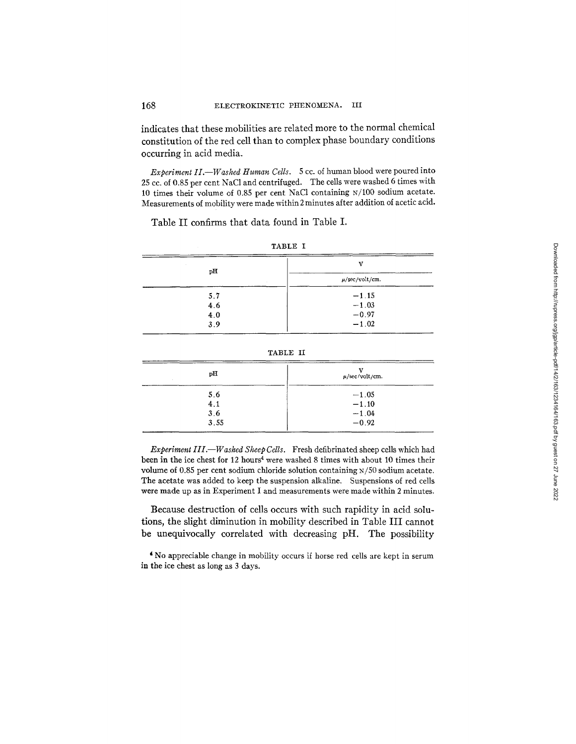indicates that these mobilities are related more to the normal chemical constitution of the red cell than to complex phase boundary conditions occurring in acid media.

*Experiment II.--Washed Human Cells.* 5 cc. of human blood were poured into 25 cc. of 0.85 per cent NaC1 and centrifuged. The cells were washed 6 times with 10 times their volume of 0.85 per cent NaC1 containing N/100 sodium acetate. Measurements of mobility were made within 2 minutes after addition of acetic acid.

Table II confirms that data found in Table I.

| pH<br>$\sim$ | 37                  |
|--------------|---------------------|
|              | $\mu$ /sec/volt/cm. |
| 5.7          | $-1.15$             |
| 4.6          | $-1.03$             |
| 4.0          | $-0.97$             |
| 3.9          | $-1.02$             |

|--|--|

| . . |  |
|-----|--|
|-----|--|

| рH   | $\mu$ /sec/volt/cm. |
|------|---------------------|
| 5.6  | $-1.05$             |
| 4.1  | $-1.10$             |
| 3.6  | $-1.04$             |
| 3.55 | $-0.92$             |

*Experiment III.--Washed Sheep Cells.* Fresh defibrinated sheep cells which had been in the ice chest for 12 hours<sup>4</sup> were washed 8 times with about 10 times their volume of 0.85 per cent sodium chloride solution containing x/50 sodium acetate. The acetate was added to keep the suspension alkaline. Suspensions of red cells were made up as in Experiment I and measurements were made within 2 minutes.

Because destruction of cells occurs with such rapidity in acid solutions, the slight diminution in mobility described in Table III cannot be unequivocally correlated with decreasing pH. The possibility

No appreciable change in mobility occurs if horse red cells are kept in serum in the ice chest as long as 3 days.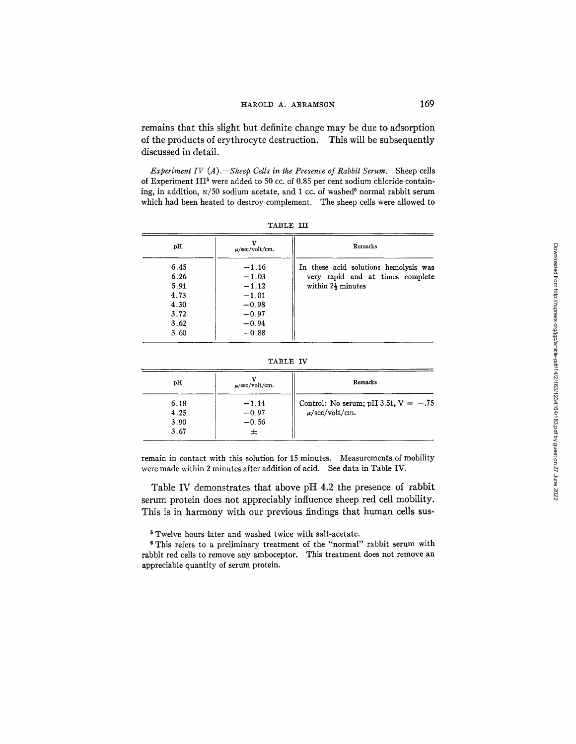remains that this slight but definite change may be due to adsorption of the products of erythrocyte destruction. This will be subsequently discussed in detail.

*Experiment IV (A).*—Sheep Cells in the Presence of Rabbit Serum. Sheep cells of Experiment III<sup>5</sup> were added to 50 cc. of 0.85 per cent sodium chloride containing, in addition,  $x/50$  sodium acetate, and 1 cc. of washed<sup>6</sup> normal rabbit serum which had been heated to destroy complement. The sheep cells were allowed to

| рĦ                                                           | $\mu$ /sec/volt/cm.                                                                  | Remarks                                                                                                    |
|--------------------------------------------------------------|--------------------------------------------------------------------------------------|------------------------------------------------------------------------------------------------------------|
| 6.45<br>6.26<br>5.91<br>4.73<br>4.30<br>3.72<br>3.62<br>3.60 | $-1.16$<br>$-1.03$<br>$-1.12$<br>$-1.01$<br>$-0.98$<br>$-0.97$<br>$-0.94$<br>$-0.88$ | In these acid solutions hemolysis was<br>very rapid and at times complete<br>within $2\frac{1}{2}$ minutes |

TABLE III

TABLE IV

| ъH                           | $\mu$ /sec/volt/cm.                | Remarks                                                       |
|------------------------------|------------------------------------|---------------------------------------------------------------|
| 6.18<br>4.25<br>3.90<br>3.67 | $-1.14$<br>$-0.97$<br>$-0.56$<br>ᆂ | Control: No serum; pH 3.51, $V = -.75$<br>$\mu$ /sec/volt/cm. |

remain in contact with this solution for 15 minutes. Measurements of mobility were made within 2 minutes after addition of acid. See data in Table IV.

Table IV demonstrates that above pH 4.2 the presence of rabbit serum protein does not appreciably influence sheep red cell mobility. This is in harmony with our previous findings that human cells sus-

5 Twelve hours later and washed twice with salt-acetate.

8 This refers to a preliminary treatment of the "normal" rabbit serum with rabbit red cells to remove any amboceptor. This treatment does not remove an appreciable quantity of serum protein.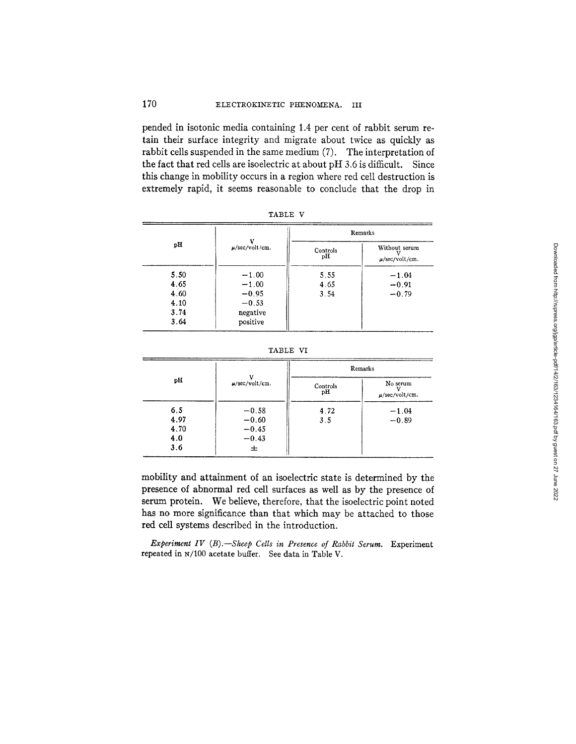## 170 ELECTROKINETIC PHENOMENA. III

pended in isotonic media containing 1.4 per cent of rabbit serum retain their surface integrity and migrate about twice as quickly as rabbit cells suspended in the same medium (7). The interpretation of the fact that red cells are isoelectric at about pH 3.6 is difficult. Since this change in mobility occurs in a region where red cell destruction is extremely rapid, it seems reasonable to conclude that the drop in

|      | 17                  | Remarks        |                                      |
|------|---------------------|----------------|--------------------------------------|
| рH   | $\mu$ /sec/volt/cm. | Controls<br>pН | Without serum<br>$\mu$ /sec/volt/cm. |
| 5.50 | $-1.00$             | 5.55           | $-1.04$                              |
| 4.65 | $-1.00$             | 4.65           | $-0.91$                              |
| 4.60 | $-0.95$             | 3.54           | $-0.79$                              |
| 4.10 | $-0.53$             |                |                                      |
| 3.74 | negative            |                |                                      |
| 3.64 | positive            |                |                                      |

TABLE V

| TABLE |  |
|-------|--|
|-------|--|

|      | Remarks             |                |                                 |
|------|---------------------|----------------|---------------------------------|
| рH   | $\mu$ /sec/volt/cm. | Controls<br>pН | No serum<br>$\mu$ /sec/volt/cm. |
| 6,5  | $-0.58$             | 4.72           | $-1.04$                         |
| 4.97 | $-0.60$             | 3.5            | $-0.89$                         |
| 4.70 | $-0.45$             |                |                                 |
| 4.0  | $-0.43$             |                |                                 |
| 3.6  | 士                   |                |                                 |

mobility and attainment of an isoelectric state is determined by the presence of abnormal red cell surfaces as well as by the presence of serum protein. We believe, therefore, that the isoelectric point noted has no more significance than that which may be attached to those red cell systems described in the introduction.

*Experiment IV (B).--Sheep Cells in Presence of Rabbit Serum.* Experiment repeated in N/100 acetate buffer. See data in Table V.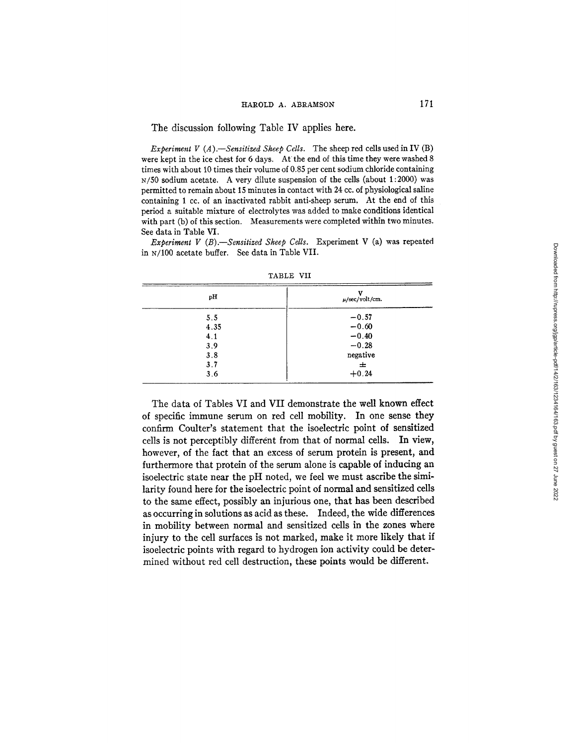#### The discussion following Table IV applies here.

*Experiment V (A).—Sensitized Sheep Cells.* The sheep red cells used in IV (B) were kept in the ice chest for 6 days. *At* the end of this time they were washed 8 times with about 10 times their volume of 0.85 per cent sodium chloride containing N/50 sodium acetate. A very dilute suspension of the cells (about 1:2000) was permitted to remain about 15 minutes in contact with 24 cc. of physiological saline containing 1 cc. of an inactivated rabbit anti-sheep serum. At the end of this period a suitable mixture of electrolytes was added to make conditions identical with part (b) of this section. Measurements were completed within two minutes. See data in Table VI.

*Experiment V (B).--Sensitized Sheep Cells.* Experiment V (a) was repeated in N/100 acetate buffer. See data in Table VII.

| pН   | v<br>$\mu$ /sec/volt/cm. |
|------|--------------------------|
| 5.5  | $-0.57$                  |
| 4.35 | $-0.60$                  |
| 4.1  | $-0.40$                  |
| 3.9  | $-0.28$                  |
| 3.8  | negative                 |
| 3.7  | 士                        |
| 3.6  | $+0.24$                  |

TABLE VII

The data of Tables VI and VII demonstrate the well known effect of specific immune serum on red cell mobility. In one sense they confirm Coulter's statement that the isoelectric point of sensitized cells is not perceptibly different from that of normal cells. In view, however, of the fact that an excess of serum protein is present, and furthermore that protein of the serum alone is capable of inducing an isoelectric state near the pH noted, we feel we must ascribe the similarity found here for the isoelectric point of normal and sensitized cells to the same effect, possibly an injurious one, that has been described as occurring in solutions as acid as these. Indeed, the wide differences in mobility between normal and sensitized cells in the zones where injury to the cell surfaces is not marked, make it more likely that if isoelectric points with regard to hydrogen ion activity could be determined without red cell destruction, these points would be different.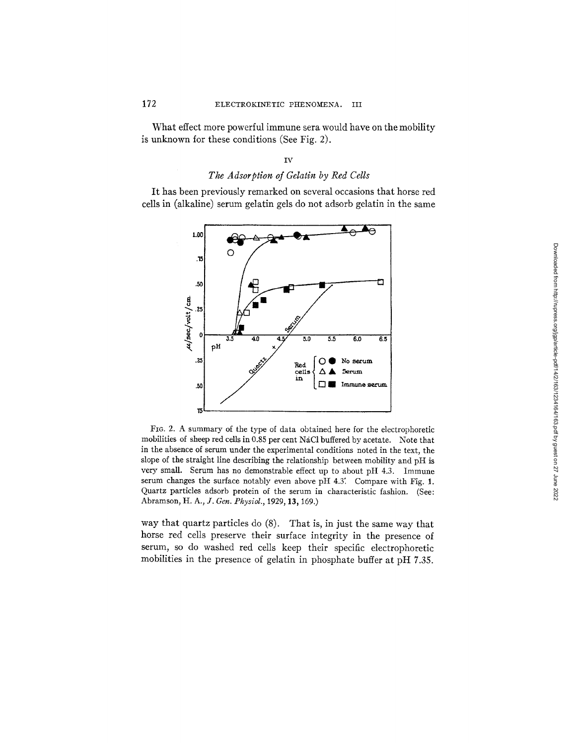## 172 ELECTROKINETIC PHENOMENA. III

What effect more powerful immune sera would have on the mobility is unknown for these conditions (See Fig. 2).

### IV

## *The Adsorption of Gelatin by Red Cells*

It has been previously remarked on several occasions that horse red cells in (alkaline) serum gelatin gels do not adsorb gelatin in the same



FIG. 2. A summary of the type of data obtained here for the electrophoretic mobilities of sheep red cells in 0.85 per cent NaC1 buffered by acetate. Note that in the absence of serum under the experimental conditions noted in the text, the slope of the straight line describing the relationship between mobility and pH is very small. Serum has no demonstrable effect up to about pH 4.3. Immune serum changes the surface notably even above pH 4.3<sup>'</sup>. Compare with Fig. 1. Quartz particles adsorb protein of the serum in characteristic fashion. (See: Abramson, *H. A., J. Gen. Physiol.,* 1929, 13,169.)

way that quartz particles do (8). That is, in just the same way that horse red cells preserve their surface integrity in the presence of serum, so do washed red cells keep their specific electrophoretic mobilities in the presence of gelatin in phosphate buffer at pH 7.35.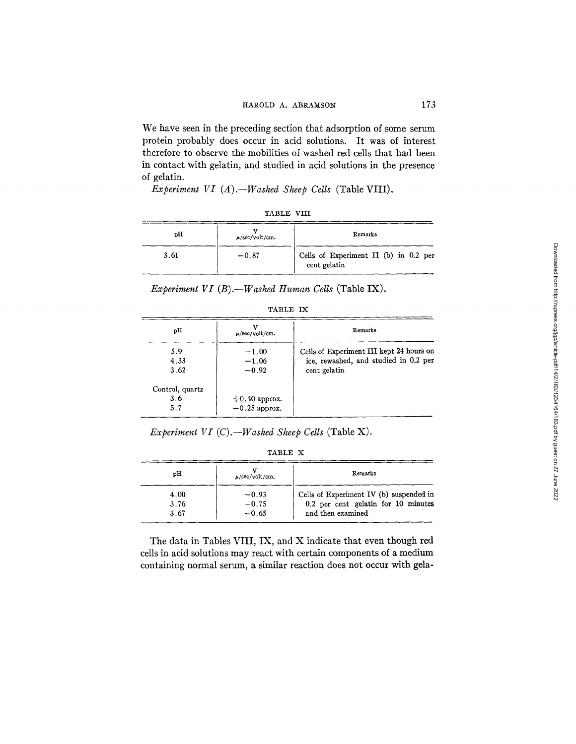#### HAROLD A. ABRAMSON 173

We have seen in the preceding section that adsorption of some serum protein probably does occur in acid solutions. It was of interest therefore to observe the mobilities of washed red cells that had been in contact with gelatin, and studied in acid solutions in the presence of gelatin.

*Experiment VI (A).--Washed Sheep Cells* (Table VIII).

| "ART.<br>Ŧ. | U |
|-------------|---|
|-------------|---|

| pН   | $\mu$ /sec/volt/cm. | Remarks                                               |
|------|---------------------|-------------------------------------------------------|
| 3.61 | $-0.87$             | Cells of Experiment II (b) in 0.2 per<br>cent gelatin |

*Experiment VI (B).--Washed Human Cells* (Table IX).

|--|--|

| рH                            | $\mu$ /sec/volt/cm.                | Remarks                                                                                           |
|-------------------------------|------------------------------------|---------------------------------------------------------------------------------------------------|
| 5.9<br>4.33<br>3.62           | $-1.00$<br>$-1.06$<br>$-0.92$      | Cells of Experiment III kept 24 hours on<br>ice, rewashed, and studied in 0.2 per<br>cent gelatin |
| Control, quartz<br>3.6<br>5.7 | $+0.40$ approx.<br>$-0.25$ approx. |                                                                                                   |

*Experiment VT (C).--Washed Sheep Cells* (Table X).

| 'A BLE |
|--------|
|--------|

| pН   | $\mu$ /sec/volt/cm. | Remarks                                 |
|------|---------------------|-----------------------------------------|
| 4.00 | $-0.93$             | Cells of Experiment IV (b) suspended in |
| 3.76 | $-0.75$             | 0.2 per cent gelatin for 10 minutes     |
| 3.67 | $-0.65$             | and then examined                       |

The data in Tables VIII, IX, and X indicate that even though red cells in acid solutions may react with certain components of a medium containing normal serum, a similar reaction does not occur with gela,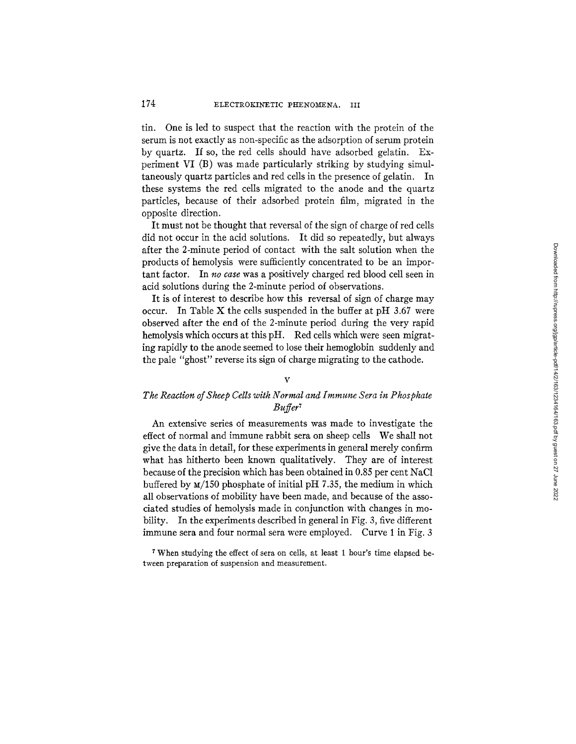tin. One is led to suspect that the reaction with the protein of the serum is not exactly as non-specific as the adsorption of serum protein by quartz. If so, the red cells should have adsorbed gelatin. Experiment VI (B) was made particularly striking by studying simultaneously quartz particles and red cells in the presence of gelatin. In these systems the red cells migrated to the anode and the quartz particles, because of their adsorbed protein film, migrated in the opposite direction.

It must not be thought that reversal of the sign of charge of red cells did not occur in the acid solutions. It did so repeatedly, but always after the 2-minute period of contact with the salt solution when the products of hemolysis were sufficiently concentrated to be an important factor. In *no case* was a positively charged red blood cell seen in acid solutions during the 2-minute period of observations.

It is of interest to describe how this reversal of sign of charge may occur. In Table X the cells suspended in the buffer at pH  $3.67$  were observed after the end of the 2-minute period during the very rapid hemolysis which occurs at this pH. Red cells which were seen migrating rapidly to the anode seemed to lose their hemoglobin suddenly and the pale "ghost" reverse its sign of charge migrating to the cathode.

### V

# *The Reaction of Sheep Cells with Normal and Immune Sera in Phosphate Buffer 7*

An extensive series of measurements was made to investigate the effect of normal and immune rabbit sera on sheep cells We shall not give the data in detail, for these experiments in general merely confirm what has hitherto been known qualitatively. They are of interest because of the precision which has been obtained in 0.85 per cent NaC1 buffered by  $M/150$  phosphate of initial pH 7.35, the medium in which all observations of mobility have been made, and because of the associated studies of hemolysis made in conjunction with changes in mobility. In the experiments described in general in Fig. 3, five different immune sera and four normal sera were employed. Curve 1 in Fig. 3

When studying the effect of sera on cells, at least 1 hour's time elapsed between preparation of suspension and measurement.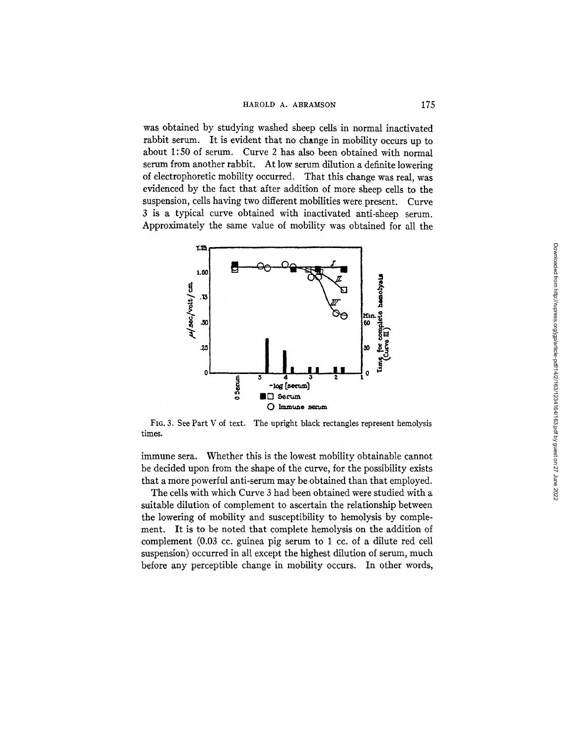was obtained by studying washed sheep cells in normal inactivated rabbit serum. It is evident that no change in mobility occurs up to about 1:50 of serum. Curve 2 has also been obtained with normal serum from another rabbit. At low serum dilution a definite lowering of electrophoretic mobility occurred. That this change was real, was evidenced by the fact that after addition of more sheep cells to the suspension, cells having two different mobilities were present. Curve 3 is a typical curve obtained with inactivated anti-sheep serum. Approximately the same value of mobility was obtained for all the



FIG. 3. See Part V of text. The upright black rectangles represent hemolysis times.

immune sera. Whether this is the lowest mobility obtainable cannot be decided upon from the shape of the curve, for the possibility exists that a more powerful anti-serum may be obtained than that employed.

The cells with which Curve 3 had been obtained were studied with a suitable dilution of complement to ascertain the relationship between the lowering of mobility and susceptibility to hemolysis by complement. It is to be noted that complete hemolysis on the addition of complement (0.03 cc. guinea pig serum to 1 cc. of a dilute red cell suspension) occurred in all except the highest dilution of serum, much before any perceptible change in mobility occurs. In other words,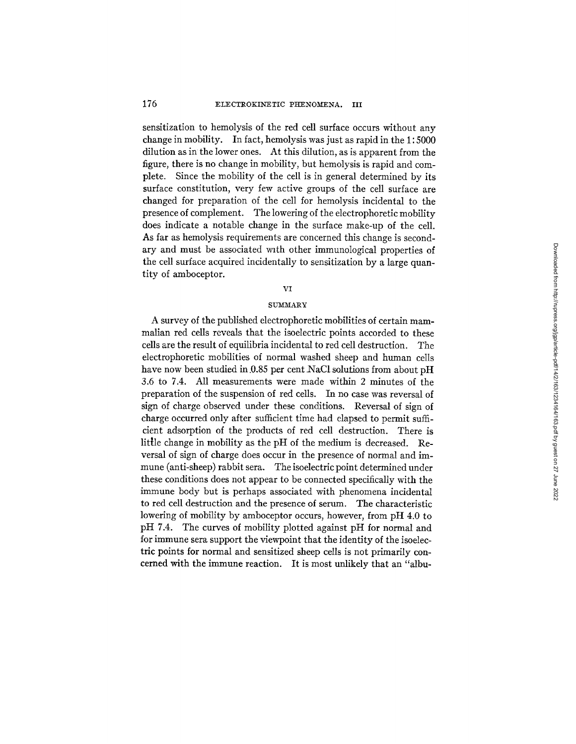sensitization to hemolysis of the red cell surface occurs without any change in mobility. In fact, hemolysis was just as rapid in the 1:5000 dilution as in the lower ones. At this dilution, as is apparent from the figure, there is no change in mobility, but hemolysis is rapid and complete. Since the mobility of the cell is in general determined by its surface constitution, very few active groups of the cell surface are changed for preparation of the cell for hemolysis incidental to the presence of complement. The lowering of the electrophoretic mobility does indicate a notable change in the surface make-up of the cell. As far as hemolysis requirements are concerned this change is secondary and must be associated with other immunological properties of the cell surface acquired incidentally to sensitization by a large quantity of amboceptor.

#### VI

#### SUMMARY

A survey of the published electrophoretic mobilities of certain mammalian red cells reveals that the isoelectric points accorded to these cells are the result of equilibria incidental to red cell destruction. The electrophoretic mobilities of normal washed sheep and human cells have now been studied in 0.85 per cent NaCl solutions from about pH 3.6 to 7.4. All measurements were made within 2 minutes of the preparation of the suspension of red cells. In no case was reversal of sign of charge observed under these conditions. Reversal of sign of charge occurred only after sufficient time had elapsed to permit sufficient adsorption of the products of red cell destruction. There is little change in mobility as the pH of the medium is decreased. Reversal of sign of charge does occur in the presence of normal and immune (anti-sheep) rabbit sera. The isoelectric point determined under these conditions does not appear to be connected specifically with the immune body but is perhaps associated with phenomena incidental to red cell destruction and the presence of serum. The characteristic lowering of mobility by amboceptor occurs, however, from pH 4.0 to pH 7.4. The curves of mobility plotted against pH for normal and for immune sera support the viewpoint that the identity of the isoelectric points for normal and sensitized sheep cells is not primarily concerned with the immune reaction. It is most unlikely that an "albu